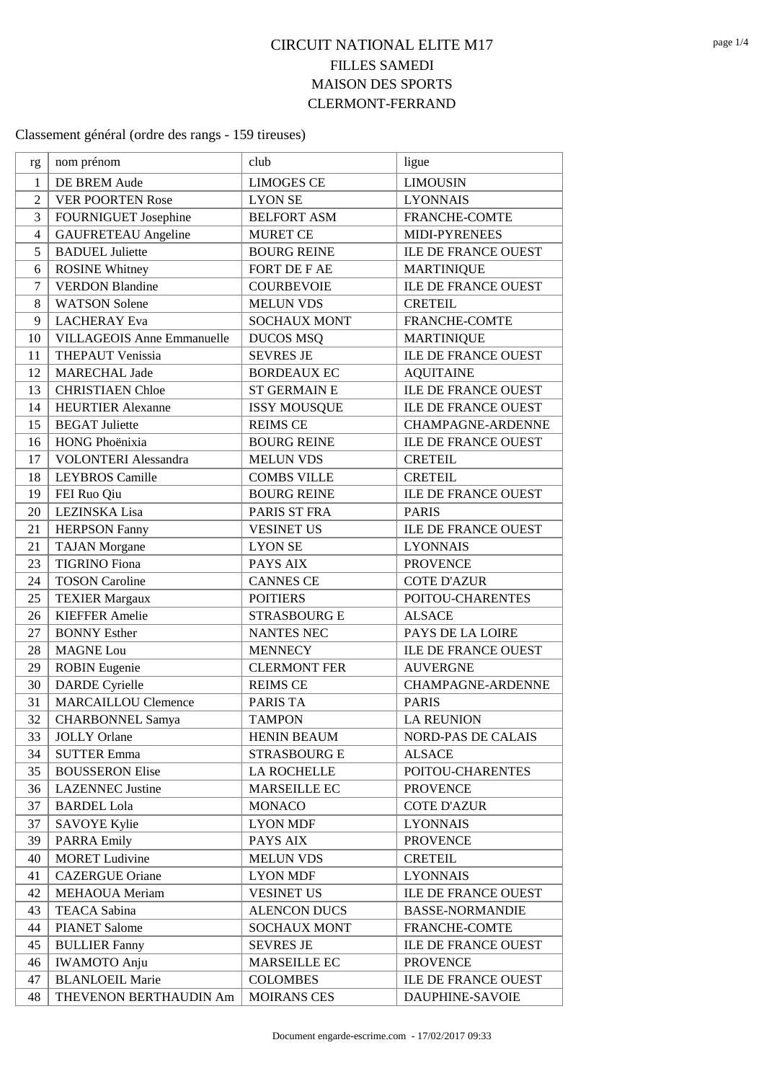## **CIRCUIT NATIONAL ELITE M17 FILLES SAMEDI MAISON DES SPORTS CLERMONT-FERRAND**

| rg             | nom prénom                        | club                | ligue                      |
|----------------|-----------------------------------|---------------------|----------------------------|
| 1              | DE BREM Aude                      | <b>LIMOGES CE</b>   | <b>LIMOUSIN</b>            |
| $\overline{2}$ | <b>VER POORTEN Rose</b>           | <b>LYON SE</b>      | <b>LYONNAIS</b>            |
| 3              | FOURNIGUET Josephine              | <b>BELFORT ASM</b>  | <b>FRANCHE-COMTE</b>       |
| $\overline{4}$ | <b>GAUFRETEAU</b> Angeline        | <b>MURET CE</b>     | MIDI-PYRENEES              |
| 5              | <b>BADUEL Juliette</b>            |                     |                            |
|                |                                   | <b>BOURG REINE</b>  | <b>ILE DE FRANCE OUEST</b> |
| 6              | <b>ROSINE Whitney</b>             | FORT DE F AE        | <b>MARTINIQUE</b>          |
| 7              | <b>VERDON Blandine</b>            | <b>COURBEVOIE</b>   | <b>ILE DE FRANCE OUEST</b> |
| 8              | <b>WATSON Solene</b>              | <b>MELUN VDS</b>    | <b>CRETEIL</b>             |
| 9              | <b>LACHERAY</b> Eva               | <b>SOCHAUX MONT</b> | FRANCHE-COMTE              |
| 10             | <b>VILLAGEOIS Anne Emmanuelle</b> | <b>DUCOS MSQ</b>    | <b>MARTINIQUE</b>          |
| 11             | <b>THEPAUT Venissia</b>           | <b>SEVRES JE</b>    | ILE DE FRANCE OUEST        |
| 12             | <b>MARECHAL Jade</b>              | <b>BORDEAUX EC</b>  | <b>AQUITAINE</b>           |
| 13             | <b>CHRISTIAEN Chloe</b>           | <b>ST GERMAIN E</b> | <b>ILE DE FRANCE OUEST</b> |
| 14             | <b>HEURTIER Alexanne</b>          | <b>ISSY MOUSQUE</b> | <b>ILE DE FRANCE OUEST</b> |
| 15             | <b>BEGAT Juliette</b>             | <b>REIMS CE</b>     | <b>CHAMPAGNE-ARDENNE</b>   |
| 16             | HONG Phoënixia                    | <b>BOURG REINE</b>  | <b>ILE DE FRANCE OUEST</b> |
| 17             | <b>VOLONTERI Alessandra</b>       | <b>MELUN VDS</b>    | <b>CRETEIL</b>             |
| 18             | <b>LEYBROS</b> Camille            | <b>COMBS VILLE</b>  | <b>CRETEIL</b>             |
| 19             | FEI Ruo Qiu                       | <b>BOURG REINE</b>  | <b>ILE DE FRANCE OUEST</b> |
| 20             | LEZINSKA Lisa                     | PARIS ST FRA        | <b>PARIS</b>               |
| 21             | <b>HERPSON Fanny</b>              | <b>VESINET US</b>   | <b>ILE DE FRANCE OUEST</b> |
| 21             | <b>TAJAN</b> Morgane              | <b>LYON SE</b>      | <b>LYONNAIS</b>            |
| 23             | <b>TIGRINO</b> Fiona              | PAYS AIX            | <b>PROVENCE</b>            |
| 24             | <b>TOSON Caroline</b>             | <b>CANNES CE</b>    | <b>COTE D'AZUR</b>         |
| 25             | <b>TEXIER Margaux</b>             | <b>POITIERS</b>     | POITOU-CHARENTES           |
| 26             | <b>KIEFFER Amelie</b>             | <b>STRASBOURG E</b> | <b>ALSACE</b>              |
| 27             | <b>BONNY Esther</b>               | <b>NANTES NEC</b>   | PAYS DE LA LOIRE           |
| 28             | <b>MAGNE</b> Lou                  | <b>MENNECY</b>      | <b>ILE DE FRANCE OUEST</b> |
| 29             | <b>ROBIN</b> Eugenie              | <b>CLERMONT FER</b> | <b>AUVERGNE</b>            |
| 30             | <b>DARDE</b> Cyrielle             | <b>REIMS CE</b>     | CHAMPAGNE-ARDENNE          |
| 31             | <b>MARCAILLOU Clemence</b>        | PARIS TA            | <b>PARIS</b>               |
| 32             | <b>CHARBONNEL Samya</b>           | <b>TAMPON</b>       | <b>LA REUNION</b>          |
| 33             | <b>JOLLY Orlane</b>               | <b>HENIN BEAUM</b>  | <b>NORD-PAS DE CALAIS</b>  |
| 34             | <b>SUTTER Emma</b>                | <b>STRASBOURG E</b> | <b>ALSACE</b>              |
| 35             | <b>BOUSSERON Elise</b>            | <b>LA ROCHELLE</b>  | POITOU-CHARENTES           |
| 36             | <b>LAZENNEC</b> Justine           | MARSEILLE EC        | <b>PROVENCE</b>            |
| 37             | <b>BARDEL Lola</b>                | <b>MONACO</b>       | <b>COTE D'AZUR</b>         |
| 37             | <b>SAVOYE Kylie</b>               | <b>LYON MDF</b>     | <b>LYONNAIS</b>            |
| 39             | <b>PARRA Emily</b>                | PAYS AIX            | <b>PROVENCE</b>            |
| 40             | <b>MORET Ludivine</b>             | <b>MELUN VDS</b>    | <b>CRETEIL</b>             |
| 41             | <b>CAZERGUE Oriane</b>            | <b>LYON MDF</b>     | <b>LYONNAIS</b>            |
| 42             | MEHAOUA Meriam                    | <b>VESINET US</b>   | ILE DE FRANCE OUEST        |
| 43             | TEACA Sabina                      | <b>ALENCON DUCS</b> | <b>BASSE-NORMANDIE</b>     |
| 44             | <b>PIANET Salome</b>              | <b>SOCHAUX MONT</b> | FRANCHE-COMTE              |
| 45             | <b>BULLIER Fanny</b>              | <b>SEVRES JE</b>    | ILE DE FRANCE OUEST        |
| 46             | <b>IWAMOTO</b> Anju               | MARSEILLE EC        | <b>PROVENCE</b>            |
| 47             | <b>BLANLOEIL Marie</b>            | <b>COLOMBES</b>     | ILE DE FRANCE OUEST        |
| 48             | THEVENON BERTHAUDIN Am            | <b>MOIRANS CES</b>  | DAUPHINE-SAVOIE            |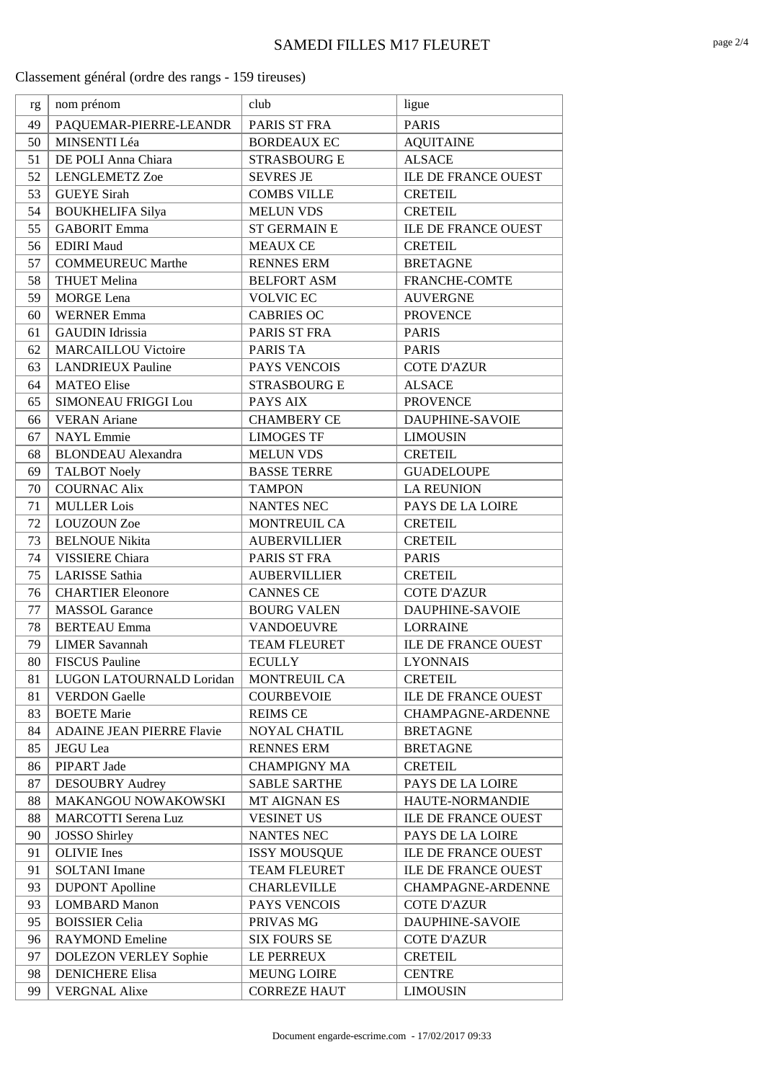| rg | nom prénom                   | club                | ligue                      |
|----|------------------------------|---------------------|----------------------------|
| 49 | PAQUEMAR-PIERRE-LEANDR       | PARIS ST FRA        | <b>PARIS</b>               |
| 50 | MINSENTI Léa                 | <b>BORDEAUX EC</b>  | <b>AQUITAINE</b>           |
| 51 | DE POLI Anna Chiara          | <b>STRASBOURG E</b> | <b>ALSACE</b>              |
| 52 | <b>LENGLEMETZ Zoe</b>        | <b>SEVRES JE</b>    | <b>ILE DE FRANCE OUEST</b> |
| 53 | <b>GUEYE</b> Sirah           | <b>COMBS VILLE</b>  | <b>CRETEIL</b>             |
| 54 | <b>BOUKHELIFA Silya</b>      | <b>MELUN VDS</b>    | <b>CRETEIL</b>             |
| 55 | <b>GABORIT Emma</b>          | <b>ST GERMAIN E</b> | <b>ILE DE FRANCE OUEST</b> |
| 56 | <b>EDIRI</b> Maud            | <b>MEAUX CE</b>     | <b>CRETEIL</b>             |
| 57 | <b>COMMEUREUC Marthe</b>     | <b>RENNES ERM</b>   | <b>BRETAGNE</b>            |
| 58 | <b>THUET Melina</b>          | <b>BELFORT ASM</b>  | FRANCHE-COMTE              |
| 59 | <b>MORGE</b> Lena            | <b>VOLVIC EC</b>    | <b>AUVERGNE</b>            |
| 60 | <b>WERNER Emma</b>           | <b>CABRIES OC</b>   | <b>PROVENCE</b>            |
| 61 | <b>GAUDIN</b> Idrissia       | PARIS ST FRA        | <b>PARIS</b>               |
| 62 | <b>MARCAILLOU Victoire</b>   | PARIS TA            | <b>PARIS</b>               |
| 63 | <b>LANDRIEUX Pauline</b>     | PAYS VENCOIS        | <b>COTE D'AZUR</b>         |
| 64 | <b>MATEO Elise</b>           | <b>STRASBOURG E</b> | <b>ALSACE</b>              |
| 65 | SIMONEAU FRIGGI Lou          | PAYS AIX            | <b>PROVENCE</b>            |
| 66 | <b>VERAN</b> Ariane          | <b>CHAMBERY CE</b>  | <b>DAUPHINE-SAVOIE</b>     |
| 67 | <b>NAYL</b> Emmie            | <b>LIMOGES TF</b>   | <b>LIMOUSIN</b>            |
| 68 | <b>BLONDEAU</b> Alexandra    | <b>MELUN VDS</b>    | <b>CRETEIL</b>             |
| 69 | <b>TALBOT Noely</b>          | <b>BASSE TERRE</b>  | <b>GUADELOUPE</b>          |
| 70 | <b>COURNAC Alix</b>          | <b>TAMPON</b>       | <b>LA REUNION</b>          |
| 71 | <b>MULLER</b> Lois           | <b>NANTES NEC</b>   | PAYS DE LA LOIRE           |
| 72 | <b>LOUZOUN Zoe</b>           | MONTREUIL CA        | <b>CRETEIL</b>             |
| 73 | <b>BELNOUE Nikita</b>        | <b>AUBERVILLIER</b> | <b>CRETEIL</b>             |
| 74 | <b>VISSIERE Chiara</b>       | PARIS ST FRA        | <b>PARIS</b>               |
| 75 | <b>LARISSE</b> Sathia        | <b>AUBERVILLIER</b> | <b>CRETEIL</b>             |
| 76 | <b>CHARTIER Eleonore</b>     | <b>CANNES CE</b>    | <b>COTE D'AZUR</b>         |
| 77 | <b>MASSOL</b> Garance        | <b>BOURG VALEN</b>  | DAUPHINE-SAVOIE            |
| 78 | <b>BERTEAU</b> Emma          | <b>VANDOEUVRE</b>   | <b>LORRAINE</b>            |
| 79 | <b>LIMER Savannah</b>        | <b>TEAM FLEURET</b> | <b>ILE DE FRANCE OUEST</b> |
| 80 | <b>FISCUS Pauline</b>        | <b>ECULLY</b>       | <b>LYONNAIS</b>            |
| 81 | LUGON LATOURNALD Loridan     | MONTREUIL CA        | <b>CRETEIL</b>             |
| 81 | <b>VERDON</b> Gaelle         | <b>COURBEVOIE</b>   | ILE DE FRANCE OUEST        |
| 83 | <b>BOETE</b> Marie           | <b>REIMS CE</b>     | <b>CHAMPAGNE-ARDENNE</b>   |
| 84 | ADAINE JEAN PIERRE Flavie    | <b>NOYAL CHATIL</b> | <b>BRETAGNE</b>            |
| 85 | <b>JEGU</b> Lea              | <b>RENNES ERM</b>   | <b>BRETAGNE</b>            |
| 86 | PIPART Jade                  | <b>CHAMPIGNY MA</b> | <b>CRETEIL</b>             |
| 87 | <b>DESOUBRY Audrey</b>       | <b>SABLE SARTHE</b> | PAYS DE LA LOIRE           |
| 88 | MAKANGOU NOWAKOWSKI          | <b>MT AIGNAN ES</b> | HAUTE-NORMANDIE            |
| 88 | <b>MARCOTTI Serena Luz</b>   | <b>VESINET US</b>   | <b>ILE DE FRANCE OUEST</b> |
| 90 | <b>JOSSO Shirley</b>         | NANTES NEC          | PAYS DE LA LOIRE           |
| 91 | <b>OLIVIE</b> Ines           | <b>ISSY MOUSQUE</b> | ILE DE FRANCE OUEST        |
| 91 | <b>SOLTANI</b> Imane         | TEAM FLEURET        | ILE DE FRANCE OUEST        |
| 93 | <b>DUPONT</b> Apolline       | <b>CHARLEVILLE</b>  | CHAMPAGNE-ARDENNE          |
| 93 | <b>LOMBARD Manon</b>         | PAYS VENCOIS        | <b>COTE D'AZUR</b>         |
| 95 | <b>BOISSIER Celia</b>        | PRIVAS MG           | DAUPHINE-SAVOIE            |
| 96 | <b>RAYMOND Emeline</b>       | <b>SIX FOURS SE</b> | <b>COTE D'AZUR</b>         |
| 97 | <b>DOLEZON VERLEY Sophie</b> | LE PERREUX          | <b>CRETEIL</b>             |
| 98 | <b>DENICHERE Elisa</b>       | <b>MEUNG LOIRE</b>  | <b>CENTRE</b>              |
| 99 | <b>VERGNAL Alixe</b>         | <b>CORREZE HAUT</b> | <b>LIMOUSIN</b>            |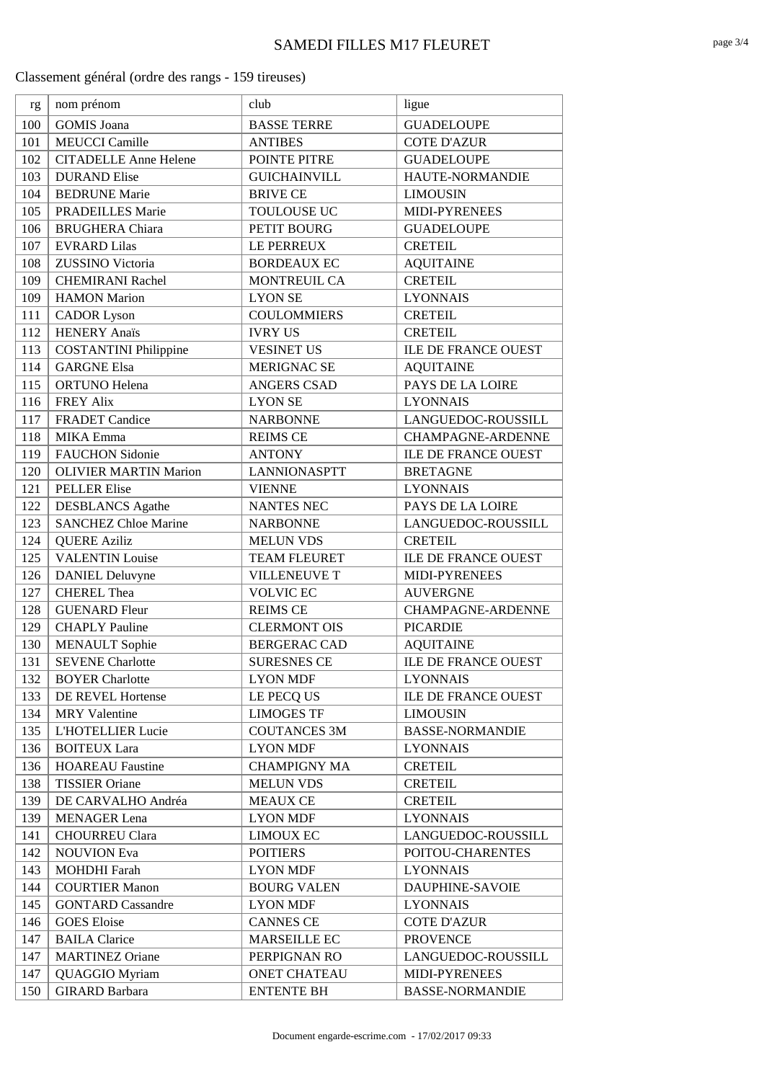| rg  | nom prénom                   | club                | ligue                      |
|-----|------------------------------|---------------------|----------------------------|
| 100 | <b>GOMIS</b> Joana           | <b>BASSE TERRE</b>  | <b>GUADELOUPE</b>          |
| 101 | <b>MEUCCI</b> Camille        | <b>ANTIBES</b>      | <b>COTE D'AZUR</b>         |
| 102 | <b>CITADELLE Anne Helene</b> | POINTE PITRE        | <b>GUADELOUPE</b>          |
| 103 | <b>DURAND Elise</b>          | <b>GUICHAINVILL</b> | HAUTE-NORMANDIE            |
| 104 | <b>BEDRUNE Marie</b>         | <b>BRIVE CE</b>     | <b>LIMOUSIN</b>            |
| 105 | <b>PRADEILLES Marie</b>      | <b>TOULOUSE UC</b>  | MIDI-PYRENEES              |
| 106 | <b>BRUGHERA</b> Chiara       | PETIT BOURG         | <b>GUADELOUPE</b>          |
| 107 | <b>EVRARD Lilas</b>          | LE PERREUX          | <b>CRETEIL</b>             |
| 108 | ZUSSINO Victoria             | <b>BORDEAUX EC</b>  | <b>AQUITAINE</b>           |
| 109 | <b>CHEMIRANI Rachel</b>      | <b>MONTREUIL CA</b> | <b>CRETEIL</b>             |
| 109 | <b>HAMON</b> Marion          | <b>LYON SE</b>      | <b>LYONNAIS</b>            |
| 111 | <b>CADOR</b> Lyson           | <b>COULOMMIERS</b>  | <b>CRETEIL</b>             |
| 112 | <b>HENERY Anaïs</b>          | <b>IVRY US</b>      | <b>CRETEIL</b>             |
| 113 | <b>COSTANTINI Philippine</b> | <b>VESINET US</b>   | <b>ILE DE FRANCE OUEST</b> |
| 114 | <b>GARGNE Elsa</b>           | <b>MERIGNAC SE</b>  | <b>AQUITAINE</b>           |
| 115 | <b>ORTUNO</b> Helena         | <b>ANGERS CSAD</b>  | PAYS DE LA LOIRE           |
| 116 | <b>FREY Alix</b>             | <b>LYON SE</b>      | <b>LYONNAIS</b>            |
| 117 | <b>FRADET</b> Candice        | <b>NARBONNE</b>     | LANGUEDOC-ROUSSILL         |
| 118 | <b>MIKA</b> Emma             | <b>REIMS CE</b>     | <b>CHAMPAGNE-ARDENNE</b>   |
| 119 | <b>FAUCHON Sidonie</b>       | <b>ANTONY</b>       | <b>ILE DE FRANCE OUEST</b> |
| 120 | <b>OLIVIER MARTIN Marion</b> | <b>LANNIONASPTT</b> | <b>BRETAGNE</b>            |
| 121 | <b>PELLER Elise</b>          | <b>VIENNE</b>       | <b>LYONNAIS</b>            |
| 122 | <b>DESBLANCS</b> Agathe      | <b>NANTES NEC</b>   | PAYS DE LA LOIRE           |
| 123 | <b>SANCHEZ Chloe Marine</b>  | <b>NARBONNE</b>     | LANGUEDOC-ROUSSILL         |
| 124 | <b>QUERE Aziliz</b>          | <b>MELUN VDS</b>    | <b>CRETEIL</b>             |
| 125 | <b>VALENTIN Louise</b>       | <b>TEAM FLEURET</b> | <b>ILE DE FRANCE OUEST</b> |
| 126 | <b>DANIEL Deluvyne</b>       | <b>VILLENEUVE T</b> | MIDI-PYRENEES              |
| 127 | <b>CHEREL Thea</b>           | <b>VOLVIC EC</b>    | <b>AUVERGNE</b>            |
| 128 | <b>GUENARD Fleur</b>         | <b>REIMS CE</b>     | <b>CHAMPAGNE-ARDENNE</b>   |
| 129 | <b>CHAPLY Pauline</b>        | <b>CLERMONT OIS</b> | <b>PICARDIE</b>            |
| 130 | <b>MENAULT</b> Sophie        | <b>BERGERAC CAD</b> | <b>AQUITAINE</b>           |
| 131 | <b>SEVENE</b> Charlotte      | <b>SURESNES CE</b>  | ILE DE FRANCE OUEST        |
| 132 | <b>BOYER Charlotte</b>       | <b>LYON MDF</b>     | <b>LYONNAIS</b>            |
| 133 | <b>DE REVEL Hortense</b>     | LE PECQ US          | ILE DE FRANCE OUEST        |
| 134 | <b>MRY</b> Valentine         | <b>LIMOGES TF</b>   | <b>LIMOUSIN</b>            |
| 135 | L'HOTELLIER Lucie            | <b>COUTANCES 3M</b> | <b>BASSE-NORMANDIE</b>     |
| 136 | <b>BOITEUX Lara</b>          | <b>LYON MDF</b>     | <b>LYONNAIS</b>            |
| 136 | <b>HOAREAU Faustine</b>      | <b>CHAMPIGNY MA</b> | <b>CRETEIL</b>             |
| 138 | <b>TISSIER Oriane</b>        | <b>MELUN VDS</b>    | <b>CRETEIL</b>             |
| 139 | DE CARVALHO Andréa           | <b>MEAUX CE</b>     | <b>CRETEIL</b>             |
| 139 | <b>MENAGER</b> Lena          | <b>LYON MDF</b>     | <b>LYONNAIS</b>            |
| 141 | <b>CHOURREU Clara</b>        | <b>LIMOUX EC</b>    | LANGUEDOC-ROUSSILL         |
| 142 | <b>NOUVION</b> Eva           | <b>POITIERS</b>     | POITOU-CHARENTES           |
| 143 | <b>MOHDHI</b> Farah          | <b>LYON MDF</b>     | <b>LYONNAIS</b>            |
| 144 | <b>COURTIER Manon</b>        | <b>BOURG VALEN</b>  | DAUPHINE-SAVOIE            |
| 145 | <b>GONTARD Cassandre</b>     | <b>LYON MDF</b>     | <b>LYONNAIS</b>            |
| 146 | <b>GOES</b> Eloise           | <b>CANNES CE</b>    | <b>COTE D'AZUR</b>         |
| 147 | <b>BAILA Clarice</b>         | <b>MARSEILLE EC</b> | <b>PROVENCE</b>            |
| 147 | <b>MARTINEZ Oriane</b>       | PERPIGNAN RO        | LANGUEDOC-ROUSSILL         |
| 147 | <b>QUAGGIO Myriam</b>        | <b>ONET CHATEAU</b> | MIDI-PYRENEES              |
| 150 | <b>GIRARD Barbara</b>        | <b>ENTENTE BH</b>   | <b>BASSE-NORMANDIE</b>     |